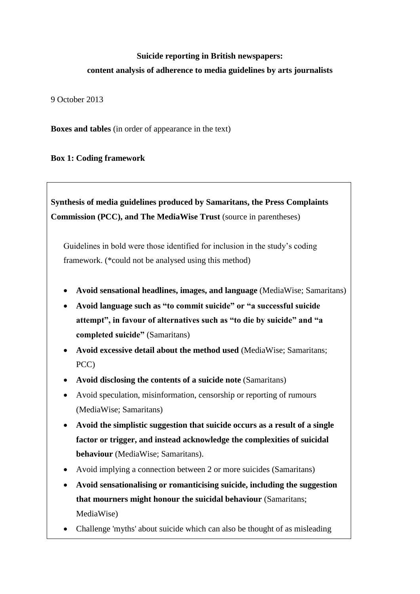# **Suicide reporting in British newspapers: content analysis of adherence to media guidelines by arts journalists**

9 October 2013

**Boxes and tables** (in order of appearance in the text)

**Box 1: Coding framework**

**Synthesis of media guidelines produced by Samaritans, the Press Complaints Commission (PCC), and The MediaWise Trust** (source in parentheses)

Guidelines in bold were those identified for inclusion in the study's coding framework. (\*could not be analysed using this method)

- **Avoid sensational headlines, images, and language** (MediaWise; Samaritans)
- **Avoid language such as "to commit suicide" or "a successful suicide attempt", in favour of alternatives such as "to die by suicide" and "a completed suicide"** (Samaritans)
- **Avoid excessive detail about the method used** (MediaWise; Samaritans; PCC)
- **Avoid disclosing the contents of a suicide note** (Samaritans)
- Avoid speculation, misinformation, censorship or reporting of rumours (MediaWise; Samaritans)
- **Avoid the simplistic suggestion that suicide occurs as a result of a single factor or trigger, and instead acknowledge the complexities of suicidal behaviour** (MediaWise; Samaritans).
- Avoid implying a connection between 2 or more suicides (Samaritans)
- **Avoid sensationalising or romanticising suicide, including the suggestion that mourners might honour the suicidal behaviour** (Samaritans; MediaWise)
- Challenge 'myths' about suicide which can also be thought of as misleading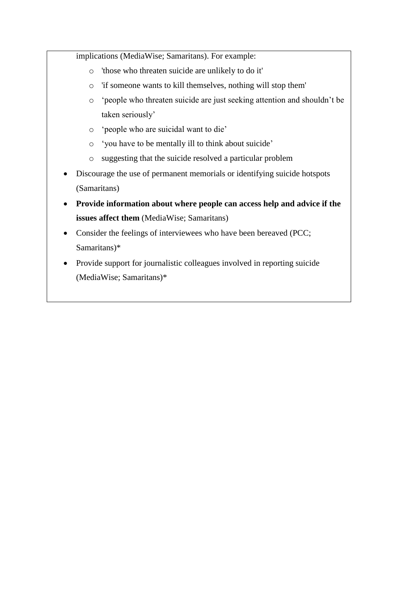implications (MediaWise; Samaritans). For example:

- o 'those who threaten suicide are unlikely to do it'
- o 'if someone wants to kill themselves, nothing will stop them'
- o 'people who threaten suicide are just seeking attention and shouldn't be taken seriously'
- o 'people who are suicidal want to die'
- o 'you have to be mentally ill to think about suicide'
- o suggesting that the suicide resolved a particular problem
- Discourage the use of permanent memorials or identifying suicide hotspots (Samaritans)
- **Provide information about where people can access help and advice if the issues affect them** (MediaWise; Samaritans)
- Consider the feelings of interviewees who have been bereaved (PCC; Samaritans)\*
- Provide support for journalistic colleagues involved in reporting suicide (MediaWise; Samaritans)\*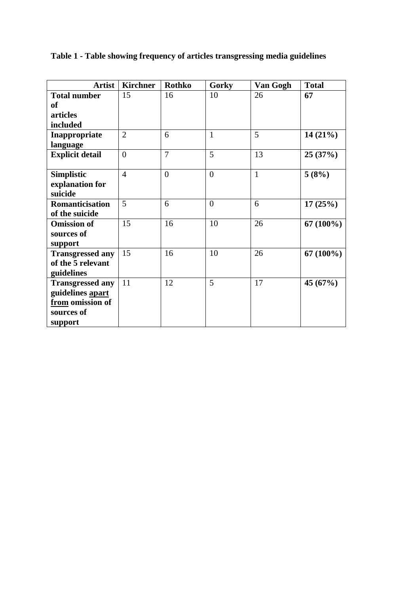| <b>Artist</b>           | <b>Kirchner</b> | <b>Rothko</b>  | Gorky          | Van Gogh     | <b>Total</b> |
|-------------------------|-----------------|----------------|----------------|--------------|--------------|
| <b>Total number</b>     | 15              | 16             | 10             | 26           | 67           |
| <b>of</b>               |                 |                |                |              |              |
| articles                |                 |                |                |              |              |
| included                |                 |                |                |              |              |
| Inappropriate           | $\overline{2}$  | 6              | $\mathbf{1}$   | 5            | $14(21\%)$   |
| language                |                 |                |                |              |              |
| <b>Explicit detail</b>  | $\overline{0}$  | $\overline{7}$ | 5              | 13           | 25(37%)      |
|                         |                 |                |                |              |              |
| <b>Simplistic</b>       | $\overline{4}$  | $\overline{0}$ | $\overline{0}$ | $\mathbf{1}$ | 5(8%)        |
| explanation for         |                 |                |                |              |              |
| suicide                 |                 |                |                |              |              |
| Romanticisation         | 5               | 6              | $\overline{0}$ | 6            | 17(25%)      |
| of the suicide          |                 |                |                |              |              |
| <b>Omission of</b>      | 15              | 16             | 10             | 26           | $67(100\%)$  |
| sources of              |                 |                |                |              |              |
| support                 |                 |                |                |              |              |
| <b>Transgressed any</b> | 15              | 16             | 10             | 26           | $67(100\%)$  |
| of the 5 relevant       |                 |                |                |              |              |
| guidelines              |                 |                |                |              |              |
| <b>Transgressed any</b> | 11              | 12             | 5              | 17           | 45(67%)      |
| guidelines apart        |                 |                |                |              |              |
| from omission of        |                 |                |                |              |              |
| sources of              |                 |                |                |              |              |
| support                 |                 |                |                |              |              |

**Table 1 - Table showing frequency of articles transgressing media guidelines**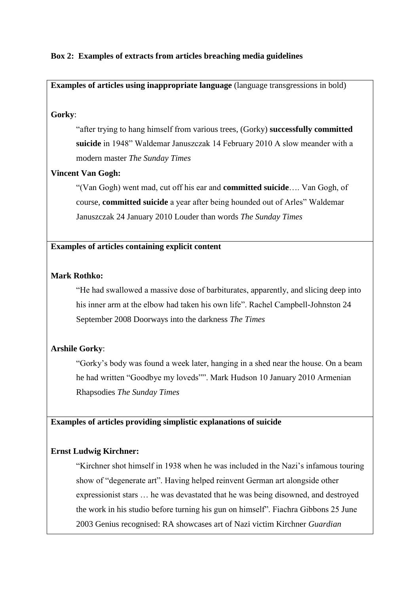# **Box 2: Examples of extracts from articles breaching media guidelines**

# **Examples of articles using inappropriate language** (language transgressions in bold)

#### **Gorky**:

"after trying to hang himself from various trees, (Gorky) **successfully committed suicide** in 1948" Waldemar Januszczak 14 February 2010 A slow meander with a modern master *The Sunday Times*

# **Vincent Van Gogh:**

"(Van Gogh) went mad, cut off his ear and **committed suicide**…. Van Gogh, of course, **committed suicide** a year after being hounded out of Arles" Waldemar Januszczak 24 January 2010 Louder than words *The Sunday Times*

# **Examples of articles containing explicit content**

# **Mark Rothko:**

"He had swallowed a massive dose of barbiturates, apparently, and slicing deep into his inner arm at the elbow had taken his own life". Rachel Campbell-Johnston 24 September 2008 Doorways into the darkness *The Times*

# **Arshile Gorky**:

"Gorky's body was found a week later, hanging in a shed near the house. On a beam he had written "Goodbye my loveds"". Mark Hudson 10 January 2010 Armenian Rhapsodies *The Sunday Times*

## **Examples of articles providing simplistic explanations of suicide**

## **Ernst Ludwig Kirchner:**

"Kirchner shot himself in 1938 when he was included in the Nazi's infamous touring show of "degenerate art". Having helped reinvent German art alongside other expressionist stars … he was devastated that he was being disowned, and destroyed the work in his studio before turning his gun on himself". Fiachra Gibbons 25 June 2003 Genius recognised: RA showcases art of Nazi victim Kirchner *Guardian*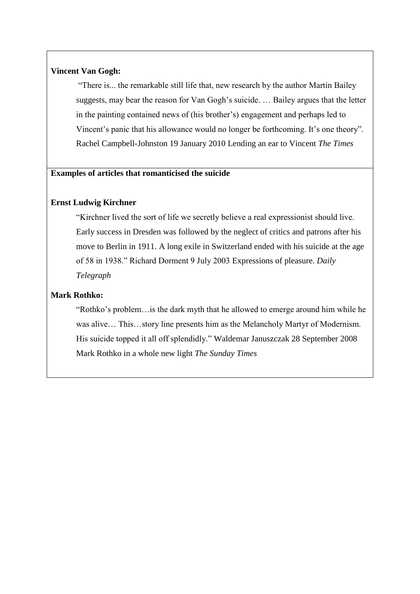# **Vincent Van Gogh:**

"There is... the remarkable still life that, new research by the author Martin Bailey suggests, may bear the reason for Van Gogh's suicide. … Bailey argues that the letter in the painting contained news of (his brother's) engagement and perhaps led to Vincent's panic that his allowance would no longer be forthcoming. It's one theory". Rachel Campbell-Johnston 19 January 2010 Lending an ear to Vincent *The Times*

# **Examples of articles that romanticised the suicide**

## **Ernst Ludwig Kirchner**

"Kirchner lived the sort of life we secretly believe a real expressionist should live. Early success in Dresden was followed by the neglect of critics and patrons after his move to Berlin in 1911. A long exile in Switzerland ended with his suicide at the age of 58 in 1938." Richard Dorment 9 July 2003 Expressions of pleasure. *Daily Telegraph*

## **Mark Rothko:**

"Rothko's problem…is the dark myth that he allowed to emerge around him while he was alive… This…story line presents him as the Melancholy Martyr of Modernism. His suicide topped it all off splendidly." Waldemar Januszczak 28 September 2008 Mark Rothko in a whole new light *The Sunday Times*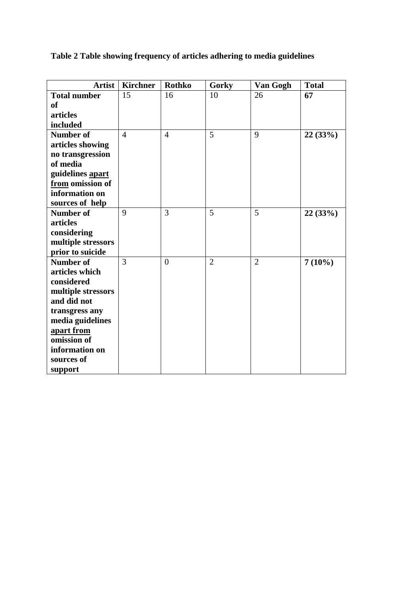**Table 2 Table showing frequency of articles adhering to media guidelines**

| <b>Artist</b>       | <b>Kirchner</b> | <b>Rothko</b>  | Gorky          | Van Gogh       | <b>Total</b> |
|---------------------|-----------------|----------------|----------------|----------------|--------------|
| <b>Total number</b> | 15              | 16             | 10             | 26             | 67           |
| <sub>of</sub>       |                 |                |                |                |              |
| articles            |                 |                |                |                |              |
| included            |                 |                |                |                |              |
| <b>Number of</b>    | $\overline{4}$  | $\overline{4}$ | 5              | 9              | 22(33%)      |
| articles showing    |                 |                |                |                |              |
| no transgression    |                 |                |                |                |              |
| of media            |                 |                |                |                |              |
| guidelines apart    |                 |                |                |                |              |
| from omission of    |                 |                |                |                |              |
| information on      |                 |                |                |                |              |
| sources of help     |                 |                |                |                |              |
| <b>Number of</b>    | 9               | 3              | 5              | 5              | 22(33%)      |
| articles            |                 |                |                |                |              |
| considering         |                 |                |                |                |              |
| multiple stressors  |                 |                |                |                |              |
| prior to suicide    |                 |                |                |                |              |
| <b>Number of</b>    | 3               | $\overline{0}$ | $\overline{2}$ | $\overline{2}$ | $7(10\%)$    |
| articles which      |                 |                |                |                |              |
| considered          |                 |                |                |                |              |
| multiple stressors  |                 |                |                |                |              |
| and did not         |                 |                |                |                |              |
| transgress any      |                 |                |                |                |              |
| media guidelines    |                 |                |                |                |              |
| apart from          |                 |                |                |                |              |
| omission of         |                 |                |                |                |              |
| information on      |                 |                |                |                |              |
| sources of          |                 |                |                |                |              |
| support             |                 |                |                |                |              |